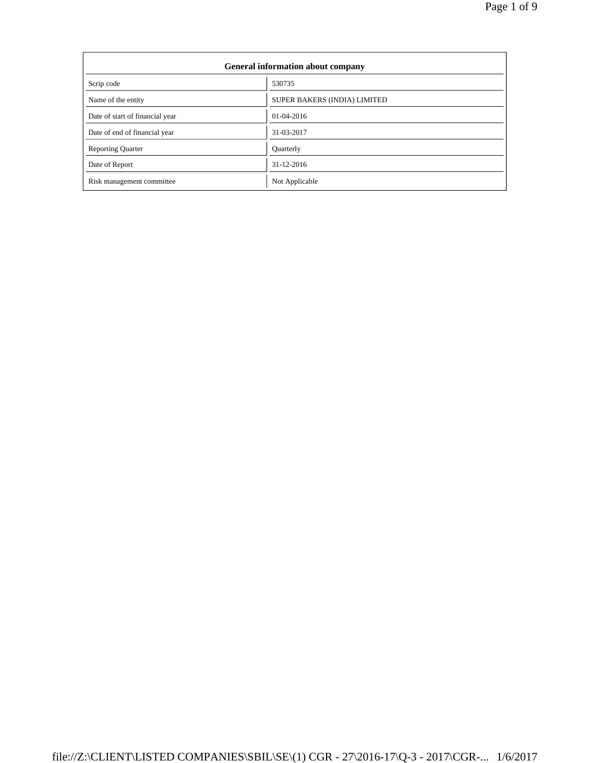| General information about company |                              |  |  |  |
|-----------------------------------|------------------------------|--|--|--|
| Scrip code                        | 530735                       |  |  |  |
| Name of the entity                | SUPER BAKERS (INDIA) LIMITED |  |  |  |
| Date of start of financial year   | $01-04-2016$                 |  |  |  |
| Date of end of financial year     | 31-03-2017                   |  |  |  |
| <b>Reporting Quarter</b>          | <b>Quarterly</b>             |  |  |  |
| Date of Report                    | 31-12-2016                   |  |  |  |
| Risk management committee         | Not Applicable               |  |  |  |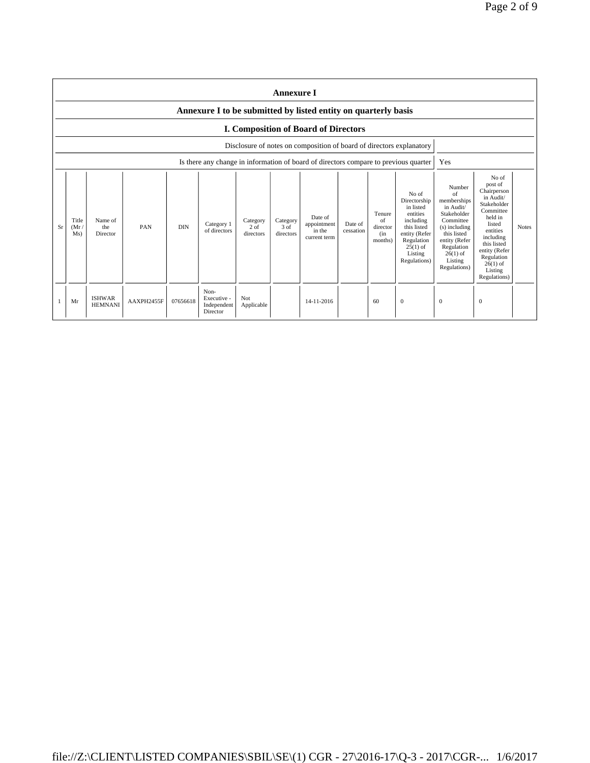|    | <b>Annexure I</b>                                              |                                 |            |            |                                                                                      |                               |                               |                                                                      |                      |                                            |                                                                                                                                                    |                                                                                                                                                                              |                                                                                                                                                                                                               |              |
|----|----------------------------------------------------------------|---------------------------------|------------|------------|--------------------------------------------------------------------------------------|-------------------------------|-------------------------------|----------------------------------------------------------------------|----------------------|--------------------------------------------|----------------------------------------------------------------------------------------------------------------------------------------------------|------------------------------------------------------------------------------------------------------------------------------------------------------------------------------|---------------------------------------------------------------------------------------------------------------------------------------------------------------------------------------------------------------|--------------|
|    | Annexure I to be submitted by listed entity on quarterly basis |                                 |            |            |                                                                                      |                               |                               |                                                                      |                      |                                            |                                                                                                                                                    |                                                                                                                                                                              |                                                                                                                                                                                                               |              |
|    | <b>I. Composition of Board of Directors</b>                    |                                 |            |            |                                                                                      |                               |                               |                                                                      |                      |                                            |                                                                                                                                                    |                                                                                                                                                                              |                                                                                                                                                                                                               |              |
|    |                                                                |                                 |            |            |                                                                                      |                               |                               | Disclosure of notes on composition of board of directors explanatory |                      |                                            |                                                                                                                                                    |                                                                                                                                                                              |                                                                                                                                                                                                               |              |
|    |                                                                |                                 |            |            | Is there any change in information of board of directors compare to previous quarter |                               |                               |                                                                      |                      |                                            |                                                                                                                                                    | Yes                                                                                                                                                                          |                                                                                                                                                                                                               |              |
| Sr | Title<br>(Mr)<br>Ms)                                           | Name of<br>the<br>Director      | PAN        | <b>DIN</b> | Category 1<br>of directors                                                           | Category<br>2 of<br>directors | Category<br>3 of<br>directors | Date of<br>appointment<br>in the<br>current term                     | Date of<br>cessation | Tenure<br>of<br>director<br>(in<br>months) | No of<br>Directorship<br>in listed<br>entities<br>including<br>this listed<br>entity (Refer<br>Regulation<br>$25(1)$ of<br>Listing<br>Regulations) | Number<br>of<br>memberships<br>in Audit/<br>Stakeholder<br>Committee<br>(s) including<br>this listed<br>entity (Refer<br>Regulation<br>$26(1)$ of<br>Listing<br>Regulations) | No of<br>post of<br>Chairperson<br>in Audit/<br>Stakeholder<br>Committee<br>held in<br>listed<br>entities<br>including<br>this listed<br>entity (Refer<br>Regulation<br>$26(1)$ of<br>Listing<br>Regulations) | <b>Notes</b> |
|    | Mr                                                             | <b>ISHWAR</b><br><b>HEMNANI</b> | AAXPH2455F | 07656618   | Non-<br>Executive -<br>Independent<br>Director                                       | Not<br>Applicable             |                               | 14-11-2016                                                           |                      | 60                                         | $\mathbf{0}$                                                                                                                                       | $\mathbf{0}$                                                                                                                                                                 | $\Omega$                                                                                                                                                                                                      |              |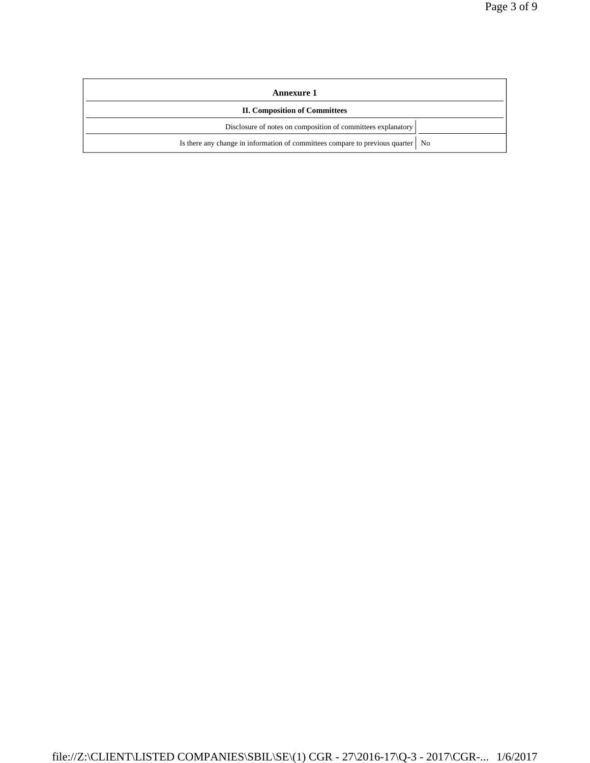| <b>Annexure 1</b>                                                                 |  |  |  |  |
|-----------------------------------------------------------------------------------|--|--|--|--|
| <b>II. Composition of Committees</b>                                              |  |  |  |  |
| Disclosure of notes on composition of committees explanatory                      |  |  |  |  |
| Is there any change in information of committees compare to previous quarter   No |  |  |  |  |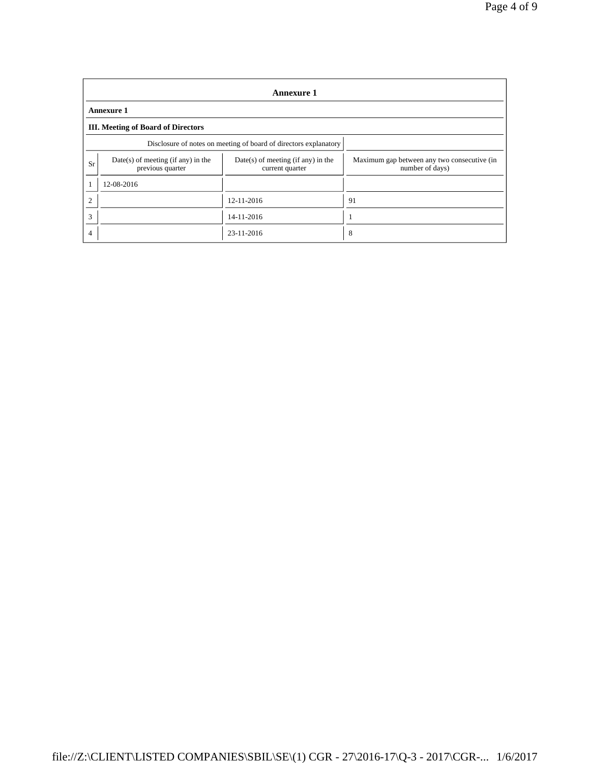|    | <b>Annexure 1</b>                                                |                                                         |                                                                |  |  |  |  |
|----|------------------------------------------------------------------|---------------------------------------------------------|----------------------------------------------------------------|--|--|--|--|
|    | <b>Annexure 1</b>                                                |                                                         |                                                                |  |  |  |  |
|    | <b>III.</b> Meeting of Board of Directors                        |                                                         |                                                                |  |  |  |  |
|    | Disclosure of notes on meeting of board of directors explanatory |                                                         |                                                                |  |  |  |  |
| Sr | $Date(s)$ of meeting (if any) in the<br>previous quarter         | $Date(s)$ of meeting (if any) in the<br>current quarter | Maximum gap between any two consecutive (in<br>number of days) |  |  |  |  |
|    | 12-08-2016                                                       |                                                         |                                                                |  |  |  |  |
| っ  |                                                                  | 12-11-2016                                              | 91                                                             |  |  |  |  |
| 3  |                                                                  | 14-11-2016                                              |                                                                |  |  |  |  |
| 4  |                                                                  | 23-11-2016                                              | 8                                                              |  |  |  |  |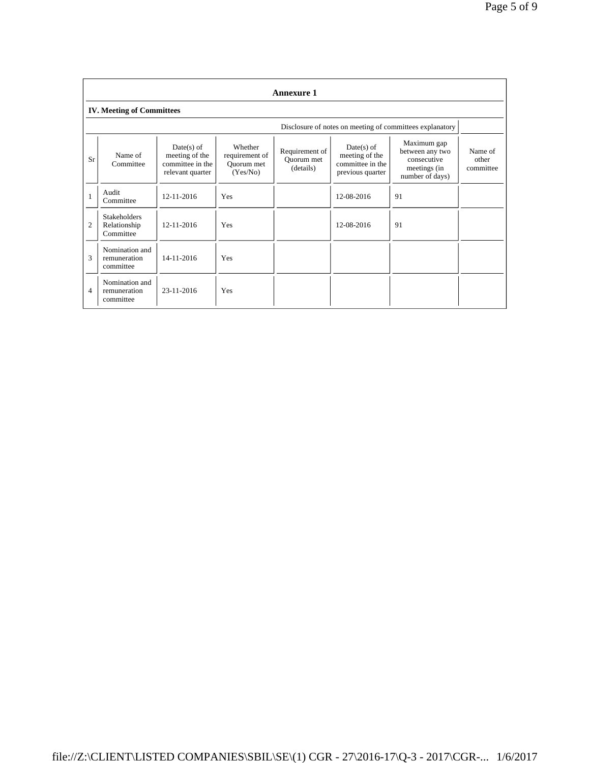|    | <b>Annexure 1</b>                                |                                                                        |                                                     |                                           |                                                                        |                                                                                  |                               |  |
|----|--------------------------------------------------|------------------------------------------------------------------------|-----------------------------------------------------|-------------------------------------------|------------------------------------------------------------------------|----------------------------------------------------------------------------------|-------------------------------|--|
|    | <b>IV. Meeting of Committees</b>                 |                                                                        |                                                     |                                           |                                                                        |                                                                                  |                               |  |
|    |                                                  |                                                                        |                                                     |                                           |                                                                        | Disclosure of notes on meeting of committees explanatory                         |                               |  |
| Sr | Name of<br>Committee                             | $Date(s)$ of<br>meeting of the<br>committee in the<br>relevant quarter | Whether<br>requirement of<br>Ouorum met<br>(Yes/No) | Requirement of<br>Ouorum met<br>(details) | $Date(s)$ of<br>meeting of the<br>committee in the<br>previous quarter | Maximum gap<br>between any two<br>consecutive<br>meetings (in<br>number of days) | Name of<br>other<br>committee |  |
| 1  | Audit<br>Committee                               | 12-11-2016                                                             | Yes                                                 |                                           | 12-08-2016                                                             | 91                                                                               |                               |  |
| 2  | <b>Stakeholders</b><br>Relationship<br>Committee | $12 - 11 - 2016$                                                       | <b>Yes</b>                                          |                                           | 12-08-2016                                                             | 91                                                                               |                               |  |
| 3  | Nomination and<br>remuneration<br>committee      | 14-11-2016                                                             | Yes                                                 |                                           |                                                                        |                                                                                  |                               |  |
| 4  | Nomination and<br>remuneration<br>committee      | 23-11-2016                                                             | Yes                                                 |                                           |                                                                        |                                                                                  |                               |  |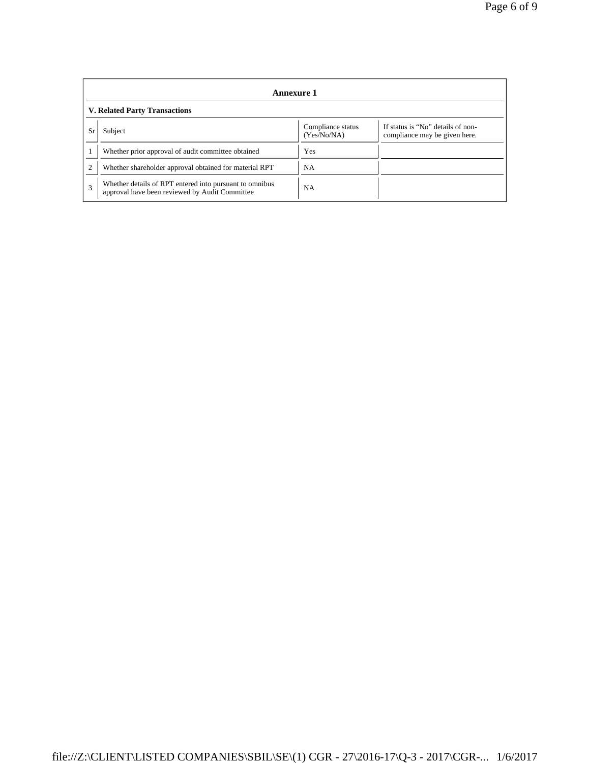| Annexure 1                           |                                                                                                                   |           |  |  |  |  |
|--------------------------------------|-------------------------------------------------------------------------------------------------------------------|-----------|--|--|--|--|
| <b>V. Related Party Transactions</b> |                                                                                                                   |           |  |  |  |  |
| Sr                                   | If status is "No" details of non-<br>Compliance status<br>Subject<br>(Yes/No/NA)<br>compliance may be given here. |           |  |  |  |  |
|                                      | Whether prior approval of audit committee obtained                                                                | Yes       |  |  |  |  |
|                                      | Whether shareholder approval obtained for material RPT                                                            | <b>NA</b> |  |  |  |  |
| 3                                    | Whether details of RPT entered into pursuant to omnibus<br>approval have been reviewed by Audit Committee         | <b>NA</b> |  |  |  |  |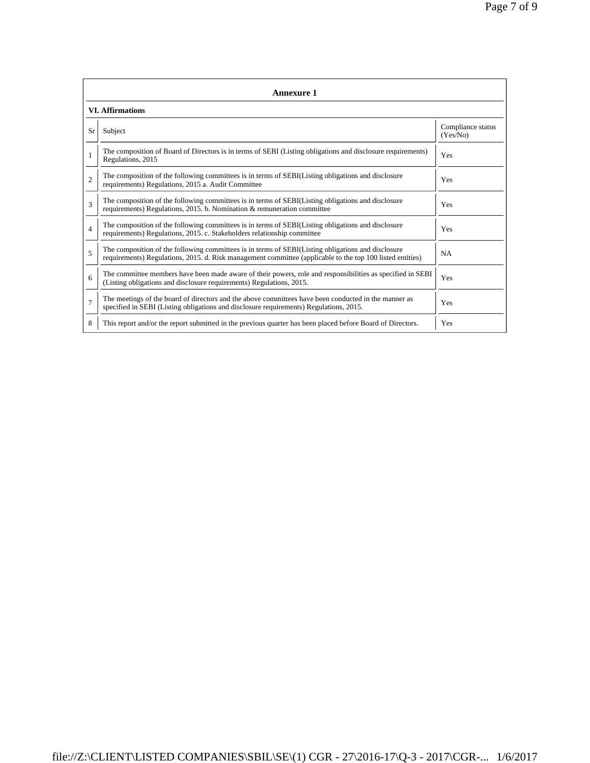|                | <b>Annexure 1</b>                                                                                                                                                                                               |                               |  |  |  |  |  |
|----------------|-----------------------------------------------------------------------------------------------------------------------------------------------------------------------------------------------------------------|-------------------------------|--|--|--|--|--|
|                | <b>VI.</b> Affirmations                                                                                                                                                                                         |                               |  |  |  |  |  |
| Sr             | Subject                                                                                                                                                                                                         | Compliance status<br>(Yes/No) |  |  |  |  |  |
| 1              | The composition of Board of Directors is in terms of SEBI (Listing obligations and disclosure requirements)<br>Regulations, 2015                                                                                | Yes                           |  |  |  |  |  |
| $\overline{2}$ | The composition of the following committees is in terms of SEBI(Listing obligations and disclosure<br>requirements) Regulations, 2015 a. Audit Committee                                                        | Yes                           |  |  |  |  |  |
| $\mathbf{3}$   | The composition of the following committees is in terms of SEBI(Listing obligations and disclosure<br>requirements) Regulations, 2015. b. Nomination & remuneration committee                                   | Yes                           |  |  |  |  |  |
| 4              | The composition of the following committees is in terms of SEBI(Listing obligations and disclosure<br>requirements) Regulations, 2015. c. Stakeholders relationship committee                                   | Yes                           |  |  |  |  |  |
| 5              | The composition of the following committees is in terms of SEBI(Listing obligations and disclosure<br>requirements) Regulations, 2015. d. Risk management committee (applicable to the top 100 listed entities) | <b>NA</b>                     |  |  |  |  |  |
| 6              | The committee members have been made aware of their powers, role and responsibilities as specified in SEBI<br>(Listing obligations and disclosure requirements) Regulations, 2015.                              | Yes                           |  |  |  |  |  |
| $\overline{7}$ | The meetings of the board of directors and the above committees have been conducted in the manner as<br>specified in SEBI (Listing obligations and disclosure requirements) Regulations, 2015.                  | Yes                           |  |  |  |  |  |
| 8              | This report and/or the report submitted in the previous quarter has been placed before Board of Directors.                                                                                                      | Yes                           |  |  |  |  |  |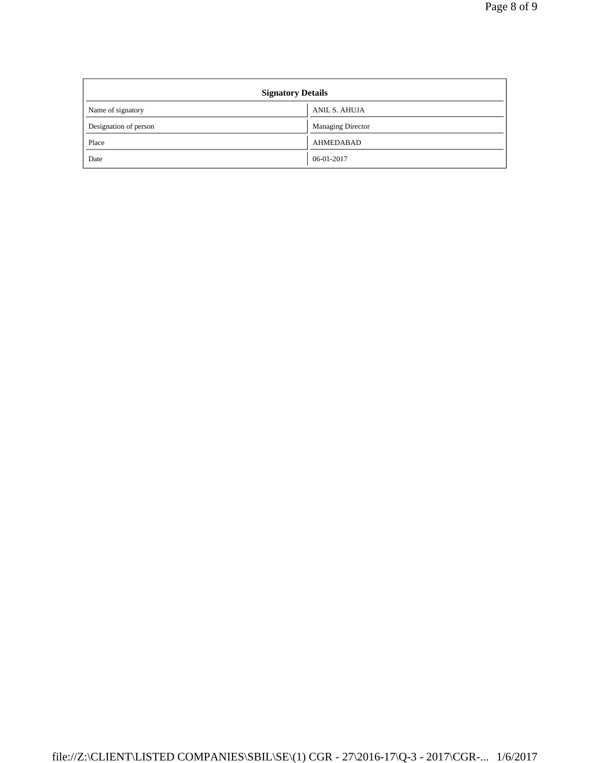| <b>Signatory Details</b> |                          |  |  |  |
|--------------------------|--------------------------|--|--|--|
| Name of signatory        | ANIL S. AHUJA            |  |  |  |
| Designation of person    | <b>Managing Director</b> |  |  |  |
| Place                    | <b>AHMEDABAD</b>         |  |  |  |
| Date                     | 06-01-2017               |  |  |  |